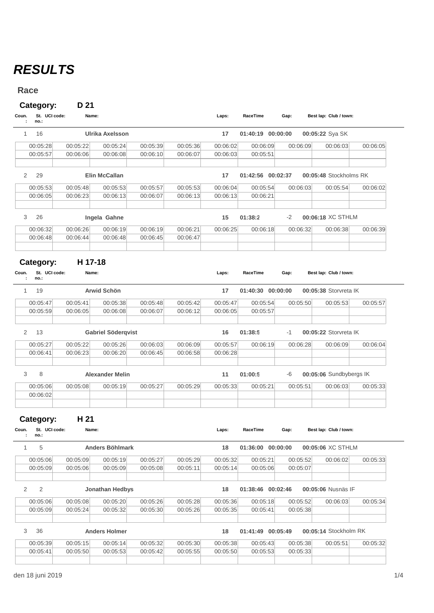## *RESULTS*

## **Race**

## **Category: D 21**

| Coun.<br>no.: | St. UCI code: | Name:    |                        |          |          | Laps:    | RaceTime          | Gap:     | Best lap: Club / town: |          |
|---------------|---------------|----------|------------------------|----------|----------|----------|-------------------|----------|------------------------|----------|
| 16            |               |          | <b>Ulrika Axelsson</b> |          |          | 17       | 01:40:19          | 00:00:00 | 00:05:22 Sya SK        |          |
| 00:05:28      |               | 00:05:22 | 00:05:24               | 00:05:39 | 00:05:36 | 00:06:02 | 00:06:09          |          | 00:06:03<br>00:06:09   | 00:06:05 |
| 00:05:57      |               | 00:06:06 | 00:06:08               | 00:06:10 | 00:06:07 | 00:06:03 | 00:05:51          |          |                        |          |
| 2<br>29       |               |          | <b>Elin McCallan</b>   |          |          | 17       | 01:42:56 00:02:37 |          | 00:05:48 Stockholms RK |          |
| 00:05:53      |               | 00:05:48 | 00:05:53               | 00:05:57 | 00:05:53 | 00:06:04 | 00:05:54          |          | 00:06:03<br>00:05:54   | 00:06:02 |
| 00:06:05      |               | 00:06:23 | 00:06:13               | 00:06:07 | 00:06:13 | 00:06:13 | 00:06:21          |          |                        |          |
| 3<br>26       |               |          | Ingela Gahne           |          |          | 15       | 01:38:2           | $-2$     | 00:06:18 XC STHLM      |          |
| 00:06:32      |               | 00:06:26 | 00:06:19               | 00:06:19 | 00:06:21 | 00:06:25 | 00:06:18          |          | 00:06:32<br>00:06:38   | 00:06:39 |
| 00:06:48      |               | 00:06:44 | 00:06:48               | 00:06:45 | 00:06:47 |          |                   |          |                        |          |
|               |               |          |                        |          |          |          |                   |          |                        |          |

## **Category: H 17-18**

| Coun.<br>$\mathbf{r}$   | St. UCI code:<br>no.  | Name:    |                           |          |          | Laps:    | RaceTime          | Gap:     | Best lap: Club / town:  |          |
|-------------------------|-----------------------|----------|---------------------------|----------|----------|----------|-------------------|----------|-------------------------|----------|
| 1                       | 19                    |          | <b>Arwid Schön</b>        |          |          | 17       | 01:40:30 00:00:00 |          | 00:05:38 Storvreta IK   |          |
|                         | 00:05:47              | 00:05:41 | 00:05:38                  | 00:05:48 | 00:05:42 | 00:05:47 | 00:05:54          | 00:05:50 | 00:05:53                | 00:05:57 |
|                         | 00:05:59              | 00:06:05 | 00:06:08                  | 00:06:07 | 00:06:12 | 00:06:05 | 00:05:57          |          |                         |          |
| 2                       | 13                    |          | <b>Gabriel Söderqvist</b> |          |          | 16       | 01:38:5           | -1       | 00:05:22 Storvreta IK   |          |
|                         | 00:05:27              | 00:05:22 | 00:05:26                  | 00:06:03 | 00:06:09 | 00:05:57 | 00:06:19          | 00:06:28 | 00:06:09                | 00:06:04 |
|                         | 00:06:41              | 00:06:23 | 00:06:20                  | 00:06:45 | 00:06:58 | 00:06:28 |                   |          |                         |          |
| 3                       | 8                     |          | <b>Alexander Melin</b>    |          |          | 11       | 01:00:5           | -6       | 00:05:06 Sundbybergs IK |          |
|                         | 00:05:06              | 00:05:08 | 00:05:19                  | 00:05:27 | 00:05:29 | 00:05:33 | 00:05:21          | 00:05:51 | 00:06:03                | 00:05:33 |
|                         | 00:06:02              |          |                           |          |          |          |                   |          |                         |          |
|                         | Category:             | H 21     |                           |          |          |          |                   |          |                         |          |
| ÷                       | St. UCI code:<br>no.: | Name:    |                           |          |          | Laps:    | RaceTime          | Gap:     | Best lap: Club / town:  |          |
| 1                       | 5                     |          | <b>Anders Böhlmark</b>    |          |          | 18       | 01:36:00          | 00:00:00 | 00:05:06 XC STHLM       |          |
|                         | 00:05:06              | 00:05:09 | 00:05:19                  | 00:05:27 | 00:05:29 | 00:05:32 | 00:05:21          | 00:05:52 | 00:06:02                | 00:05:33 |
|                         | 00:05:09              | 00:05:06 | 00:05:09                  | 00:05:08 | 00:05:11 | 00:05:14 | 00:05:06          | 00:05:07 |                         |          |
| Coun.<br>$\overline{2}$ | $\overline{2}$        |          | <b>Jonathan Hedbys</b>    |          |          | 18       | 01:38:46 00:02:46 |          | 00:05:06 Nusnäs IF      |          |
|                         | 00:05:06              | 00:05:08 | 00:05:20                  | 00:05:26 | 00:05:28 | 00:05:36 | 00:05:18          | 00:05:52 | 00:06:03                | 00:05:34 |
|                         | 00:05:09              | 00:05:24 | 00:05:32                  | 00:05:30 | 00:05:26 | 00:05:35 | 00:05:41          | 00:05:38 |                         |          |
| 3                       | 36                    |          | <b>Anders Holmer</b>      |          |          | 18       | 01:41:49 00:05:49 |          | 00:05:14 Stockholm RK   |          |
|                         | 00:05:39              | 00:05:15 | 00:05:14                  | 00:05:32 | 00:05:30 | 00:05:38 | 00:05:43          | 00:05:38 | 00:05:51                | 00:05:32 |
|                         | 00:05:41              | 00:05:50 | 00:05:53                  | 00:05:42 | 00:05:55 | 00:05:50 | 00:05:53          | 00:05:33 |                         |          |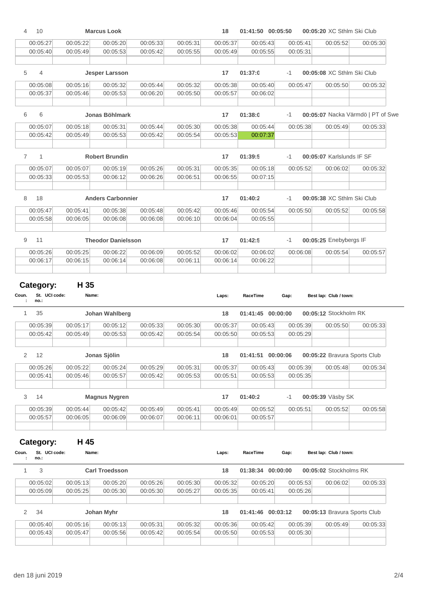| 4                     | 10                                 |                      | <b>Marcus Look</b>        |                      |                      | 18                   | 01:41:50 00:05:50 |          | 00:05:20 XC Sthlm Ski Club   |                                   |
|-----------------------|------------------------------------|----------------------|---------------------------|----------------------|----------------------|----------------------|-------------------|----------|------------------------------|-----------------------------------|
|                       | 00:05:27                           | 00:05:22             | 00:05:20                  | 00:05:33             | 00:05:31             | 00:05:37             | 00:05:43          | 00:05:41 | 00:05:52                     | 00:05:30                          |
|                       | 00:05:40                           | 00:05:49             | 00:05:53                  | 00:05:42             | 00:05:55             | 00:05:49             | 00:05:55          | 00:05:31 |                              |                                   |
| 5                     | 4                                  |                      | <b>Jesper Larsson</b>     |                      |                      | 17                   | 01:37:0           | $-1$     | 00:05:08 XC Sthlm Ski Club   |                                   |
|                       | 00:05:08                           | 00:05:16             | 00:05:32                  | 00:05:44             | 00:05:32             | 00:05:38             | 00:05:40          | 00:05:47 | 00:05:50                     | 00:05:32                          |
|                       | 00:05:37                           | 00:05:46             | 00:05:53                  | 00:06:20             | 00:05:50             | 00:05:57             | 00:06:02          |          |                              |                                   |
| 6                     | 6                                  |                      | Jonas Böhlmark            |                      |                      | 17                   | 01:38:0           | $-1$     |                              | 00:05:07 Nacka Värmdö   PT of Swe |
|                       | 00:05:07                           | 00:05:18             | 00:05:31                  | 00:05:44             | 00:05:30             | 00:05:38             | 00:05:44          | 00:05:38 | 00:05:49                     | 00:05:33                          |
|                       | 00:05:42                           | 00:05:49             | 00:05:53                  | 00:05:42             | 00:05:54             | 00:05:53             | 00:07:37          |          |                              |                                   |
| $\overline{7}$        | $\mathbf{1}$                       |                      | <b>Robert Brundin</b>     |                      |                      | 17                   | 01:39:5           | $-1$     | 00:05:07 Karlslunds IF SF    |                                   |
|                       | 00:05:07                           | 00:05:07             | 00:05:19                  | 00:05:26             | 00:05:31             | 00:05:35             | 00:05:18          | 00:05:52 | 00:06:02                     | 00:05:32                          |
|                       | 00:05:33                           | 00:05:53             | 00:06:12                  | 00:06:26             | 00:06:51             | 00:06:55             | 00:07:15          |          |                              |                                   |
|                       |                                    |                      |                           |                      |                      |                      |                   |          |                              |                                   |
| 8                     | 18                                 |                      | <b>Anders Carbonnier</b>  |                      |                      | 17                   | 01:40:2           | $-1$     | 00:05:38 XC Sthlm Ski Club   |                                   |
|                       | 00:05:47                           | 00:05:41             | 00:05:38                  | 00:05:48             | 00:05:42             | 00:05:46             | 00:05:54          | 00:05:50 | 00:05:52                     | 00:05:58                          |
|                       | 00:05:58                           | 00:06:05             | 00:06:08                  | 00:06:08             | 00:06:10             | 00:06:04             | 00:05:55          |          |                              |                                   |
| 9                     | 11                                 |                      | <b>Theodor Danielsson</b> |                      |                      | 17                   | 01:42:5           | -1       | 00:05:25 Enebybergs IF       |                                   |
|                       | 00:05:26                           | 00:05:25             | 00:06:22                  | 00:06:09             | 00:05:52             | 00:06:02             | 00:06:02          | 00:06:08 | 00:05:54                     | 00:05:57                          |
|                       | 00:06:17                           | 00:06:15             | 00:06:14                  | 00:06:08             | 00:06:11             | 00:06:14             | 00:06:22          |          |                              |                                   |
|                       |                                    |                      |                           |                      |                      |                      |                   |          |                              |                                   |
|                       | Category:<br>St. UCI code:<br>no.: | H 35<br>Name:        |                           |                      |                      | Laps:                | RaceTime          | Gap:     | Best lap: Club / town:       |                                   |
| Coun.<br>$\mathbf{1}$ | 35                                 |                      | Johan Wahlberg            |                      |                      | 18                   | 01:41:45 00:00:00 |          | 00:05:12 Stockholm RK        |                                   |
|                       | 00:05:39                           | 00:05:17             | 00:05:12                  | 00:05:33             | 00:05:30             | 00:05:37             | 00:05:43          | 00:05:39 | 00:05:50                     | 00:05:33                          |
|                       | 00:05:42                           | 00:05:49             | 00:05:53                  | 00:05:42             | 00:05:54             | 00:05:50             | 00:05:53          | 00:05:29 |                              |                                   |
| 2                     | 12                                 |                      | Jonas Sjölin              |                      |                      | 18                   | 01:41:51 00:00:06 |          | 00:05:22 Bravura Sports Club |                                   |
|                       | 00:05:26                           | 00:05:22             | 00:05:24                  | 00:05:29             | 00:05:31             | 00:05:37             | 00:05:43          | 00:05:39 | 00:05:48                     | 00:05:34                          |
|                       | 00:05:41                           | 00:05:46             | 00:05:57                  | 00:05:42             | 00:05:53             | 00:05:51             | 00:05:53          | 00:05:35 |                              |                                   |
| 3                     | 14                                 |                      | <b>Magnus Nygren</b>      |                      |                      | 17                   | 01:40:2           | $-1$     | 00:05:39 Väsby SK            |                                   |
|                       | 00:05:39                           |                      |                           |                      |                      |                      | 00:05:52          |          |                              |                                   |
|                       | 00:05:57                           | 00:05:44<br>00:06:05 | 00:05:42<br>00:06:09      | 00:05:49<br>00:06:07 | 00:05:41<br>00:06:11 | 00:05:49<br>00:06:01 | 00:05:57          | 00:05:51 | 00:05:52                     | 00:05:58                          |
|                       |                                    |                      |                           |                      |                      |                      |                   |          |                              |                                   |
|                       | Category:                          | H 45                 |                           |                      |                      |                      |                   |          |                              |                                   |
| Coun.                 | St. UCI code:<br>no.:              | Name:                |                           |                      |                      | Laps:                | RaceTime          | Gap:     | Best lap: Club / town:       |                                   |
| 1                     | 3                                  |                      | <b>Carl Troedsson</b>     |                      |                      | 18                   | 01:38:34 00:00:00 |          | 00:05:02 Stockholms RK       |                                   |
|                       | 00:05:02                           | 00:05:13             | 00:05:20                  | 00:05:26             | 00:05:30             | 00:05:32             | 00:05:20          | 00:05:53 | 00:06:02                     | 00:05:33                          |
|                       | 00:05:09                           | 00:05:25             | 00:05:30                  | 00:05:30             | 00:05:27             | 00:05:35             | 00:05:41          | 00:05:26 |                              |                                   |
| 2                     | 34                                 |                      | Johan Myhr                |                      |                      | 18                   | 01:41:46 00:03:12 |          | 00:05:13 Bravura Sports Club |                                   |
|                       | 00:05:40                           | 00:05:16             | 00:05:13                  | 00:05:31             | 00:05:32             | 00:05:36             | 00:05:42          | 00:05:39 | 00:05:49                     | 00:05:33                          |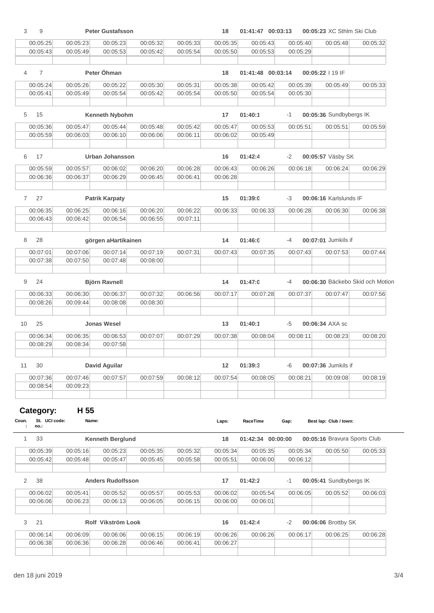| 3            | 9                     |                      | <b>Peter Gustafsson</b>  |                      |                      | 18                   | 01:41:47 00:03:13 |          | 00:05:23 XC Sthlm Ski Club       |          |
|--------------|-----------------------|----------------------|--------------------------|----------------------|----------------------|----------------------|-------------------|----------|----------------------------------|----------|
|              | 00:05:25              | 00:05:23             | 00:05:23                 | 00:05:32             | 00:05:33             | 00:05:35             | 00:05:43          | 00:05:40 | 00:05:48                         | 00:05:32 |
|              | 00:05:43              | 00:05:49             | 00:05:53                 | 00:05:42             | 00:05:54             | 00:05:50             | 00:05:53          | 00:05:29 |                                  |          |
|              |                       |                      |                          |                      |                      |                      |                   |          |                                  |          |
| 4            | $\overline{7}$        |                      | Peter Öhman              |                      |                      | 18                   | 01:41:48 00:03:14 |          | 00:05:22   19 IF                 |          |
|              | 00:05:24              | 00:05:26             | 00:05:22                 | 00:05:30             | 00:05:31             | 00:05:38             | 00:05:42          | 00:05:39 | 00:05:49                         | 00:05:33 |
|              | 00:05:41              | 00:05:49             | 00:05:54                 | 00:05:42             | 00:05:54             | 00:05:50             | 00:05:54          | 00:05:30 |                                  |          |
|              |                       |                      |                          |                      |                      |                      |                   |          |                                  |          |
| 5            | 15                    |                      | Kenneth Nybohm           |                      |                      | 17                   | 01:40:1           | $-1$     | 00:05:36 Sundbybergs IK          |          |
|              | 00:05:36              | 00:05:47             | 00:05:44                 | 00:05:48             | 00:05:42             | 00:05:47             | 00:05:53          | 00:05:51 | 00:05:51                         | 00:05:59 |
|              | 00:05:59              | 00:06:03             | 00:06:10                 | 00:06:06             | 00:06:11             | 00:06:02             | 00:05:49          |          |                                  |          |
|              |                       |                      |                          |                      |                      |                      |                   |          |                                  |          |
| 6            | 17                    |                      | <b>Urban Johansson</b>   |                      |                      | 16                   | 01:42:4           | -2       | 00:05:57 Väsby SK                |          |
|              | 00:05:59              | 00:05:57             | 00:06:02                 | 00:06:20             | 00:06:28             | 00:06:43             | 00:06:26          | 00:06:18 | 00:06:24                         | 00:06:29 |
|              | 00:06:36              | 00:06:37             | 00:06:29                 | 00:06:45             | 00:06:41             | 00:06:28             |                   |          |                                  |          |
| $\mathbf{7}$ | 27                    |                      | <b>Patrik Karpaty</b>    |                      |                      | 15                   | 01:39:0           | -3       | 00:06:16 Karlslunds IF           |          |
|              | 00:06:35              | 00:06:25             | 00:06:16                 | 00:06:20             | 00:06:22             | 00:06:33             | 00:06:33          | 00:06:28 | 00:06:30                         | 00:06:38 |
|              | 00:06:43              | 00:06:42             | 00:06:54                 | 00:06:55             | 00:07:11             |                      |                   |          |                                  |          |
|              |                       |                      |                          |                      |                      |                      |                   |          |                                  |          |
| 8            | 28                    |                      | görgen aHartikainen      |                      |                      | 14                   | 01:46:0           | -4       | 00:07:01 Jumkils if              |          |
|              | 00:07:01              | 00:07:06             | 00:07:14                 | 00:07:19             | 00:07:31             | 00:07:43             | 00:07:35          | 00:07:43 | 00:07:53                         | 00:07:44 |
|              | 00:07:38              | 00:07:50             | 00:07:48                 | 00:08:00             |                      |                      |                   |          |                                  |          |
|              |                       |                      |                          |                      |                      |                      |                   |          |                                  |          |
| 9            | 24                    |                      | <b>Björn Ravnell</b>     |                      |                      | 14                   | 01:47:0           | $-4$     | 00:06:30 Bäckebo Skid och Motion |          |
|              | 00:06:33              | 00:06:30             | 00:06:37                 | 00:07:32             | 00:06:56             | 00:07:17             | 00:07:28          | 00:07:37 | 00:07:47                         | 00:07:56 |
|              | 00:08:26              | 00:09:44             | 00:08:08                 | 00:08:30             |                      |                      |                   |          |                                  |          |
| 10           | 25                    |                      | <b>Jonas Wesel</b>       |                      |                      | 13                   | 01:40:1           | -5       | 00:06:34 AXA sc                  |          |
|              | 00:06:34              | 00:06:35             | 00:06:53                 | 00:07:07             | 00:07:29             | 00:07:38             | 00:08:04          | 00:08:11 | 00:08:23                         | 00:08:20 |
|              | 00:08:29              | 00:08:34             | 00:07:58                 |                      |                      |                      |                   |          |                                  |          |
| 11           | 30                    |                      | <b>David Aguilar</b>     |                      |                      | 12                   | 01:39:3           | -6       | 00:07:36 Jumkils if              |          |
|              | 00:07:36              | 00:07:46             | 00:07:57                 | 00:07:59             | 00:08:12             | 00:07:54             | 00:08:05          | 00:08:21 | 00:09:08                         | 00:08:19 |
|              | 00:08:54              | 00:09:23             |                          |                      |                      |                      |                   |          |                                  |          |
|              | Category:             | H 55                 |                          |                      |                      |                      |                   |          |                                  |          |
| Coun.        | St. UCI code:<br>no.: | Name:                |                          |                      |                      | Laps:                | RaceTime          | Gap:     | Best lap: Club / town:           |          |
| 1            | 33                    |                      | Kenneth Berglund         |                      |                      | 18                   | 01:42:34 00:00:00 |          | 00:05:16 Bravura Sports Club     |          |
|              | 00:05:39              | 00:05:16             | 00:05:23                 | 00:05:35             | 00:05:32             | 00:05:34             | 00:05:35          | 00:05:34 | 00:05:50                         | 00:05:33 |
|              | 00:05:42              | 00:05:48             | 00:05:47                 | 00:05:45             | 00:05:58             | 00:05:51             | 00:06:00          | 00:06:12 |                                  |          |
|              |                       |                      |                          |                      |                      |                      |                   |          |                                  |          |
| 2            | 38                    |                      | <b>Anders Rudolfsson</b> |                      |                      | 17                   | 01:42:2           | -1       | 00:05:41 Sundbybergs IK          |          |
|              | 00:06:02              | 00:05:41             | 00:05:52                 | 00:05:57             | 00:05:53             | 00:06:02             | 00:05:54          | 00:06:05 | 00:05:52                         | 00:06:03 |
|              | 00:06:06              | 00:06:23             | 00:06:13                 | 00:06:05             | 00:06:15             | 00:06:00             | 00:06:01          |          |                                  |          |
| 3            | 21                    |                      | Rolf Vikström Look       |                      |                      | 16                   | 01:42:4           | $-2$     | 00:06:06 Brottby SK              |          |
|              |                       |                      |                          |                      |                      |                      |                   |          |                                  |          |
|              | 00:06:14<br>00:06:38  | 00:06:09<br>00:06:36 | 00:06:06<br>00:06:28     | 00:06:15<br>00:06:46 | 00:06:19<br>00:06:41 | 00:06:26<br>00:06:27 | 00:06:26          | 00:06:17 | 00:06:25                         | 00:06:28 |
|              |                       |                      |                          |                      |                      |                      |                   |          |                                  |          |
|              |                       |                      |                          |                      |                      |                      |                   |          |                                  |          |